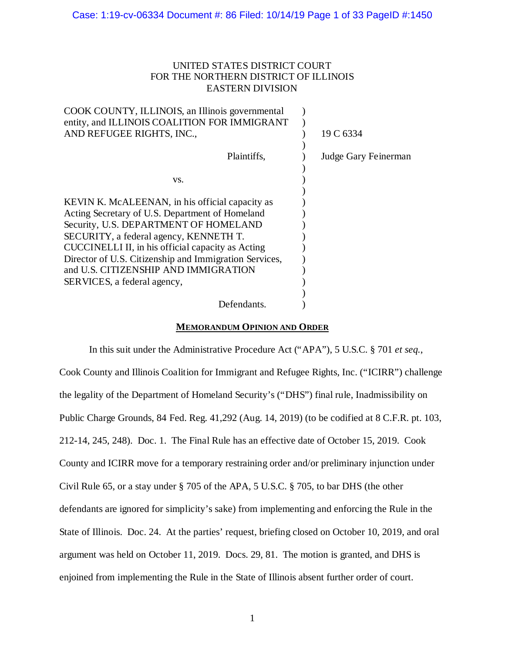# UNITED STATES DISTRICT COURT FOR THE NORTHERN DISTRICT OF ILLINOIS EASTERN DIVISION

| 19 C 6334            |  |
|----------------------|--|
|                      |  |
| Judge Gary Feinerman |  |
|                      |  |
|                      |  |
|                      |  |
|                      |  |
|                      |  |
|                      |  |
|                      |  |
|                      |  |
|                      |  |
|                      |  |

## **MEMORANDUM OPINION AND ORDER**

In this suit under the Administrative Procedure Act ("APA"), 5 U.S.C. § 701 *et seq.*, Cook County and Illinois Coalition for Immigrant and Refugee Rights, Inc. ("ICIRR") challenge the legality of the Department of Homeland Security's ("DHS") final rule, Inadmissibility on Public Charge Grounds, 84 Fed. Reg. 41,292 (Aug. 14, 2019) (to be codified at 8 C.F.R. pt. 103, 212-14, 245, 248). Doc. 1. The Final Rule has an effective date of October 15, 2019. Cook County and ICIRR move for a temporary restraining order and/or preliminary injunction under Civil Rule 65, or a stay under § 705 of the APA, 5 U.S.C. § 705, to bar DHS (the other defendants are ignored for simplicity's sake) from implementing and enforcing the Rule in the State of Illinois. Doc. 24. At the parties' request, briefing closed on October 10, 2019, and oral argument was held on October 11, 2019. Docs. 29, 81. The motion is granted, and DHS is enjoined from implementing the Rule in the State of Illinois absent further order of court.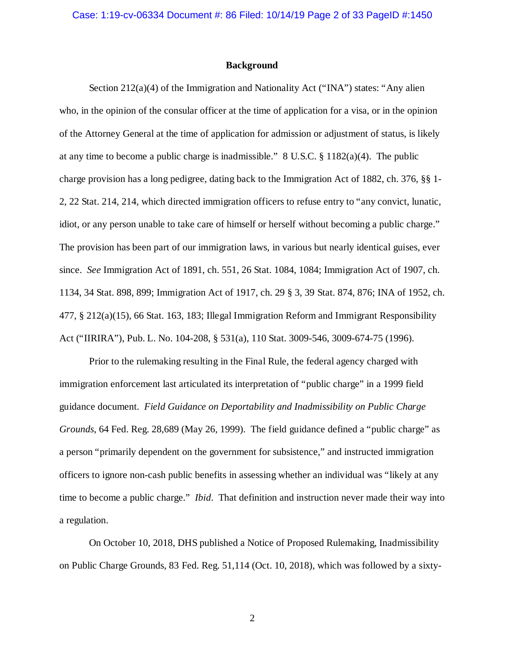### **Background**

Section 212(a)(4) of the Immigration and Nationality Act ("INA") states: "Any alien who, in the opinion of the consular officer at the time of application for a visa, or in the opinion of the Attorney General at the time of application for admission or adjustment of status, is likely at any time to become a public charge is inadmissible." 8 U.S.C. § 1182(a)(4). The public charge provision has a long pedigree, dating back to the Immigration Act of 1882, ch. 376, §§ 1- 2, 22 Stat. 214, 214, which directed immigration officers to refuse entry to "any convict, lunatic, idiot, or any person unable to take care of himself or herself without becoming a public charge." The provision has been part of our immigration laws, in various but nearly identical guises, ever since. *See* Immigration Act of 1891, ch. 551, 26 Stat. 1084, 1084; Immigration Act of 1907, ch. 1134, 34 Stat. 898, 899; Immigration Act of 1917, ch. 29 § 3, 39 Stat. 874, 876; INA of 1952, ch. 477, § 212(a)(15), 66 Stat. 163, 183; Illegal Immigration Reform and Immigrant Responsibility Act ("IIRIRA"), Pub. L. No. 104-208, § 531(a), 110 Stat. 3009-546, 3009-674-75 (1996).

Prior to the rulemaking resulting in the Final Rule, the federal agency charged with immigration enforcement last articulated its interpretation of "public charge" in a 1999 field guidance document. *Field Guidance on Deportability and Inadmissibility on Public Charge Grounds*, 64 Fed. Reg. 28,689 (May 26, 1999). The field guidance defined a "public charge" as a person "primarily dependent on the government for subsistence," and instructed immigration officers to ignore non-cash public benefits in assessing whether an individual was "likely at any time to become a public charge." *Ibid*. That definition and instruction never made their way into a regulation.

On October 10, 2018, DHS published a Notice of Proposed Rulemaking, Inadmissibility on Public Charge Grounds, 83 Fed. Reg. 51,114 (Oct. 10, 2018), which was followed by a sixty-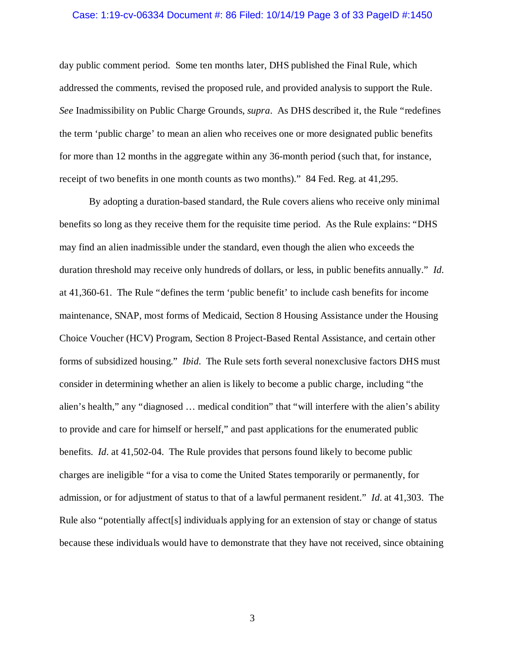## Case: 1:19-cv-06334 Document #: 86 Filed: 10/14/19 Page 3 of 33 PageID #:1450

day public comment period. Some ten months later, DHS published the Final Rule, which addressed the comments, revised the proposed rule, and provided analysis to support the Rule. *See* Inadmissibility on Public Charge Grounds, *supra*. As DHS described it, the Rule "redefines the term 'public charge' to mean an alien who receives one or more designated public benefits for more than 12 months in the aggregate within any 36-month period (such that, for instance, receipt of two benefits in one month counts as two months)." 84 Fed. Reg. at 41,295.

By adopting a duration-based standard, the Rule covers aliens who receive only minimal benefits so long as they receive them for the requisite time period. As the Rule explains: "DHS may find an alien inadmissible under the standard, even though the alien who exceeds the duration threshold may receive only hundreds of dollars, or less, in public benefits annually." *Id*. at 41,360-61. The Rule "defines the term 'public benefit' to include cash benefits for income maintenance, SNAP, most forms of Medicaid, Section 8 Housing Assistance under the Housing Choice Voucher (HCV) Program, Section 8 Project-Based Rental Assistance, and certain other forms of subsidized housing." *Ibid*. The Rule sets forth several nonexclusive factors DHS must consider in determining whether an alien is likely to become a public charge, including "the alien's health," any "diagnosed … medical condition" that "will interfere with the alien's ability to provide and care for himself or herself," and past applications for the enumerated public benefits. *Id*. at 41,502-04. The Rule provides that persons found likely to become public charges are ineligible "for a visa to come the United States temporarily or permanently, for admission, or for adjustment of status to that of a lawful permanent resident." *Id*. at 41,303. The Rule also "potentially affect[s] individuals applying for an extension of stay or change of status because these individuals would have to demonstrate that they have not received, since obtaining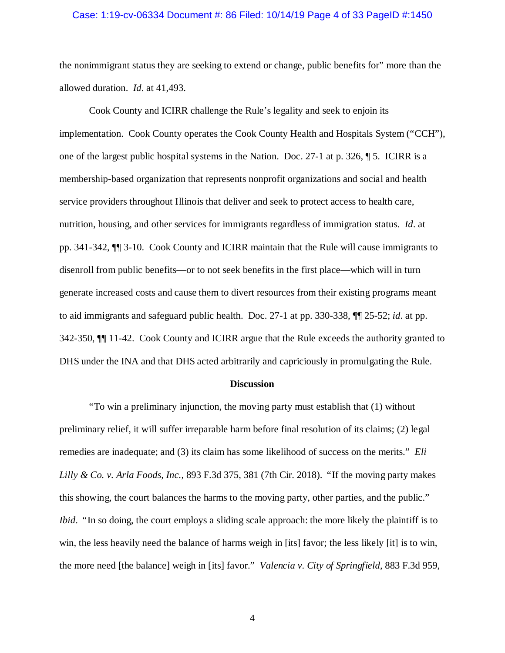## Case: 1:19-cv-06334 Document #: 86 Filed: 10/14/19 Page 4 of 33 PageID #:1450

the nonimmigrant status they are seeking to extend or change, public benefits for" more than the allowed duration. *Id*. at 41,493.

Cook County and ICIRR challenge the Rule's legality and seek to enjoin its implementation. Cook County operates the Cook County Health and Hospitals System ("CCH"), one of the largest public hospital systems in the Nation. Doc. 27-1 at p. 326, ¶ 5. ICIRR is a membership-based organization that represents nonprofit organizations and social and health service providers throughout Illinois that deliver and seek to protect access to health care, nutrition, housing, and other services for immigrants regardless of immigration status. *Id*. at pp. 341-342, ¶¶ 3-10. Cook County and ICIRR maintain that the Rule will cause immigrants to disenroll from public benefits—or to not seek benefits in the first place—which will in turn generate increased costs and cause them to divert resources from their existing programs meant to aid immigrants and safeguard public health. Doc. 27-1 at pp. 330-338, ¶¶ 25-52; *id*. at pp. 342-350, ¶¶ 11-42. Cook County and ICIRR argue that the Rule exceeds the authority granted to DHS under the INA and that DHS acted arbitrarily and capriciously in promulgating the Rule.

#### **Discussion**

"To win a preliminary injunction, the moving party must establish that (1) without preliminary relief, it will suffer irreparable harm before final resolution of its claims; (2) legal remedies are inadequate; and (3) its claim has some likelihood of success on the merits." *Eli Lilly & Co. v. Arla Foods, Inc.*, 893 F.3d 375, 381 (7th Cir. 2018). "If the moving party makes this showing, the court balances the harms to the moving party, other parties, and the public." *Ibid.* "In so doing, the court employs a sliding scale approach: the more likely the plaintiff is to win, the less heavily need the balance of harms weigh in [its] favor; the less likely [it] is to win, the more need [the balance] weigh in [its] favor." *Valencia v. City of Springfield*, 883 F.3d 959,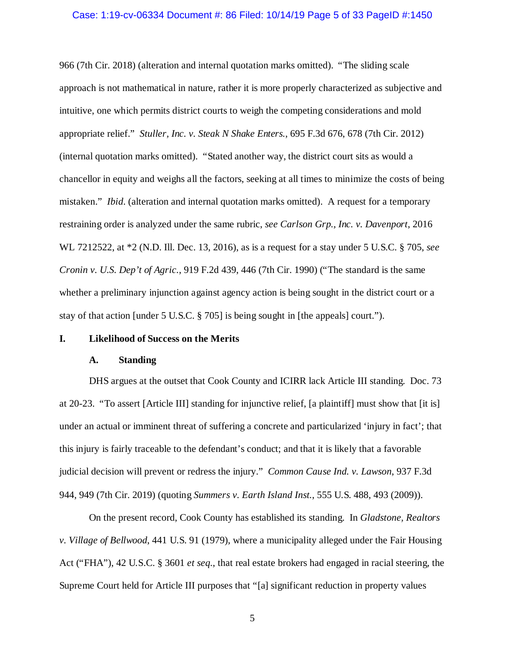## Case: 1:19-cv-06334 Document #: 86 Filed: 10/14/19 Page 5 of 33 PageID #:1450

966 (7th Cir. 2018) (alteration and internal quotation marks omitted). "The sliding scale approach is not mathematical in nature, rather it is more properly characterized as subjective and intuitive, one which permits district courts to weigh the competing considerations and mold appropriate relief." *Stuller, Inc. v. Steak N Shake Enters.*, 695 F.3d 676, 678 (7th Cir. 2012) (internal quotation marks omitted). "Stated another way, the district court sits as would a chancellor in equity and weighs all the factors, seeking at all times to minimize the costs of being mistaken." *Ibid*. (alteration and internal quotation marks omitted). A request for a temporary restraining order is analyzed under the same rubric, *see Carlson Grp., Inc. v. Davenport*, 2016 WL 7212522, at \*2 (N.D. Ill. Dec. 13, 2016), as is a request for a stay under 5 U.S.C. § 705, *see Cronin v. U.S. Dep't of Agric.*, 919 F.2d 439, 446 (7th Cir. 1990) ("The standard is the same whether a preliminary injunction against agency action is being sought in the district court or a stay of that action [under 5 U.S.C. § 705] is being sought in [the appeals] court.").

## **I. Likelihood of Success on the Merits**

## **A. Standing**

DHS argues at the outset that Cook County and ICIRR lack Article III standing. Doc. 73 at 20-23. "To assert [Article III] standing for injunctive relief, [a plaintiff] must show that [it is] under an actual or imminent threat of suffering a concrete and particularized 'injury in fact'; that this injury is fairly traceable to the defendant's conduct; and that it is likely that a favorable judicial decision will prevent or redress the injury." *Common Cause Ind. v. Lawson*, 937 F.3d 944, 949 (7th Cir. 2019) (quoting *Summers v. Earth Island Inst.*, 555 U.S. 488, 493 (2009)).

On the present record, Cook County has established its standing. In *Gladstone, Realtors v. Village of Bellwood*, 441 U.S. 91 (1979), where a municipality alleged under the Fair Housing Act ("FHA"), 42 U.S.C. § 3601 *et seq.*, that real estate brokers had engaged in racial steering, the Supreme Court held for Article III purposes that "[a] significant reduction in property values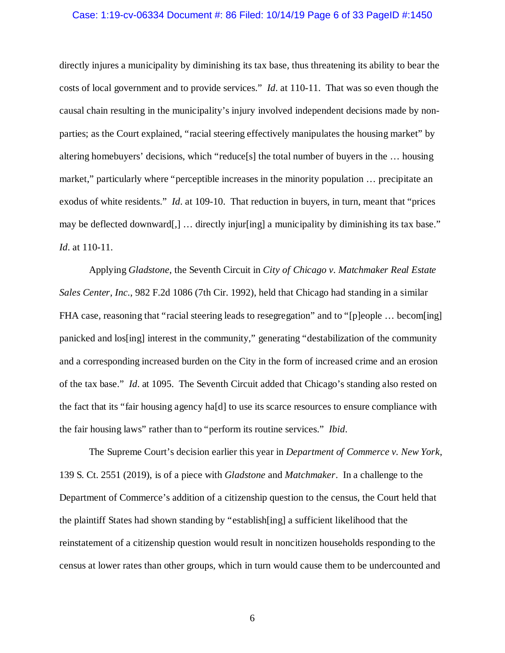## Case: 1:19-cv-06334 Document #: 86 Filed: 10/14/19 Page 6 of 33 PageID #:1450

directly injures a municipality by diminishing its tax base, thus threatening its ability to bear the costs of local government and to provide services." *Id*. at 110-11. That was so even though the causal chain resulting in the municipality's injury involved independent decisions made by nonparties; as the Court explained, "racial steering effectively manipulates the housing market" by altering homebuyers' decisions, which "reduce[s] the total number of buyers in the … housing market," particularly where "perceptible increases in the minority population … precipitate an exodus of white residents." *Id*. at 109-10. That reduction in buyers, in turn, meant that "prices may be deflected downward[,] ... directly injur[ing] a municipality by diminishing its tax base." *Id*. at 110-11.

Applying *Gladstone*, the Seventh Circuit in *City of Chicago v. Matchmaker Real Estate Sales Center, Inc.*, 982 F.2d 1086 (7th Cir. 1992), held that Chicago had standing in a similar FHA case, reasoning that "racial steering leads to resegregation" and to "[p]eople ... becom[ing] panicked and los[ing] interest in the community," generating "destabilization of the community and a corresponding increased burden on the City in the form of increased crime and an erosion of the tax base." *Id*. at 1095. The Seventh Circuit added that Chicago's standing also rested on the fact that its "fair housing agency ha[d] to use its scarce resources to ensure compliance with the fair housing laws" rather than to "perform its routine services." *Ibid*.

The Supreme Court's decision earlier this year in *Department of Commerce v. New York*, 139 S. Ct. 2551 (2019), is of a piece with *Gladstone* and *Matchmaker*. In a challenge to the Department of Commerce's addition of a citizenship question to the census, the Court held that the plaintiff States had shown standing by "establish[ing] a sufficient likelihood that the reinstatement of a citizenship question would result in noncitizen households responding to the census at lower rates than other groups, which in turn would cause them to be undercounted and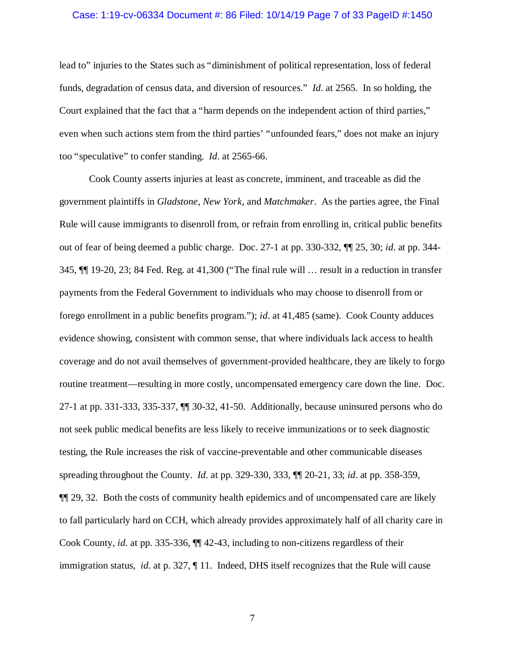## Case: 1:19-cv-06334 Document #: 86 Filed: 10/14/19 Page 7 of 33 PageID #:1450

lead to" injuries to the States such as "diminishment of political representation, loss of federal funds, degradation of census data, and diversion of resources." *Id*. at 2565. In so holding, the Court explained that the fact that a "harm depends on the independent action of third parties," even when such actions stem from the third parties' "unfounded fears," does not make an injury too "speculative" to confer standing. *Id*. at 2565-66.

Cook County asserts injuries at least as concrete, imminent, and traceable as did the government plaintiffs in *Gladstone*, *New York*, and *Matchmaker*. As the parties agree, the Final Rule will cause immigrants to disenroll from, or refrain from enrolling in, critical public benefits out of fear of being deemed a public charge. Doc. 27-1 at pp. 330-332, ¶¶ 25, 30; *id*. at pp. 344- 345, ¶¶ 19-20, 23; 84 Fed. Reg. at 41,300 ("The final rule will … result in a reduction in transfer payments from the Federal Government to individuals who may choose to disenroll from or forego enrollment in a public benefits program."); *id*. at 41,485 (same). Cook County adduces evidence showing, consistent with common sense, that where individuals lack access to health coverage and do not avail themselves of government-provided healthcare, they are likely to forgo routine treatment—resulting in more costly, uncompensated emergency care down the line. Doc. 27-1 at pp. 331-333, 335-337, ¶¶ 30-32, 41-50. Additionally, because uninsured persons who do not seek public medical benefits are less likely to receive immunizations or to seek diagnostic testing, the Rule increases the risk of vaccine-preventable and other communicable diseases spreading throughout the County. *Id*. at pp. 329-330, 333, ¶¶ 20-21, 33; *id*. at pp. 358-359, ¶¶ 29, 32. Both the costs of community health epidemics and of uncompensated care are likely to fall particularly hard on CCH, which already provides approximately half of all charity care in Cook County, *id*. at pp. 335-336, ¶¶ 42-43, including to non-citizens regardless of their immigration status, *id*. at p. 327, ¶ 11. Indeed, DHS itself recognizes that the Rule will cause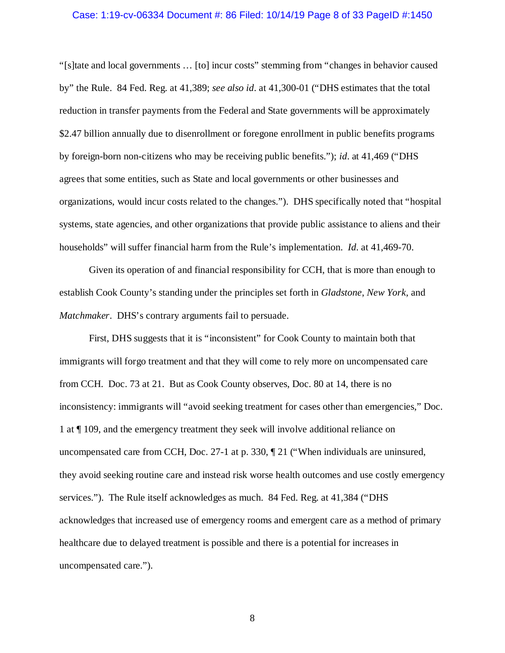### Case: 1:19-cv-06334 Document #: 86 Filed: 10/14/19 Page 8 of 33 PageID #:1450

"[s]tate and local governments … [to] incur costs" stemming from "changes in behavior caused by" the Rule. 84 Fed. Reg. at 41,389; *see also id*. at 41,300-01 ("DHS estimates that the total reduction in transfer payments from the Federal and State governments will be approximately \$2.47 billion annually due to disenrollment or foregone enrollment in public benefits programs by foreign-born non-citizens who may be receiving public benefits."); *id*. at 41,469 ("DHS agrees that some entities, such as State and local governments or other businesses and organizations, would incur costs related to the changes."). DHS specifically noted that "hospital systems, state agencies, and other organizations that provide public assistance to aliens and their households" will suffer financial harm from the Rule's implementation. *Id*. at 41,469-70.

Given its operation of and financial responsibility for CCH, that is more than enough to establish Cook County's standing under the principles set forth in *Gladstone*, *New York*, and *Matchmaker*. DHS's contrary arguments fail to persuade.

First, DHS suggests that it is "inconsistent" for Cook County to maintain both that immigrants will forgo treatment and that they will come to rely more on uncompensated care from CCH. Doc. 73 at 21. But as Cook County observes, Doc. 80 at 14, there is no inconsistency: immigrants will "avoid seeking treatment for cases other than emergencies," Doc. 1 at ¶ 109, and the emergency treatment they seek will involve additional reliance on uncompensated care from CCH, Doc. 27-1 at p. 330, ¶ 21 ("When individuals are uninsured, they avoid seeking routine care and instead risk worse health outcomes and use costly emergency services."). The Rule itself acknowledges as much. 84 Fed. Reg. at 41,384 ("DHS acknowledges that increased use of emergency rooms and emergent care as a method of primary healthcare due to delayed treatment is possible and there is a potential for increases in uncompensated care.").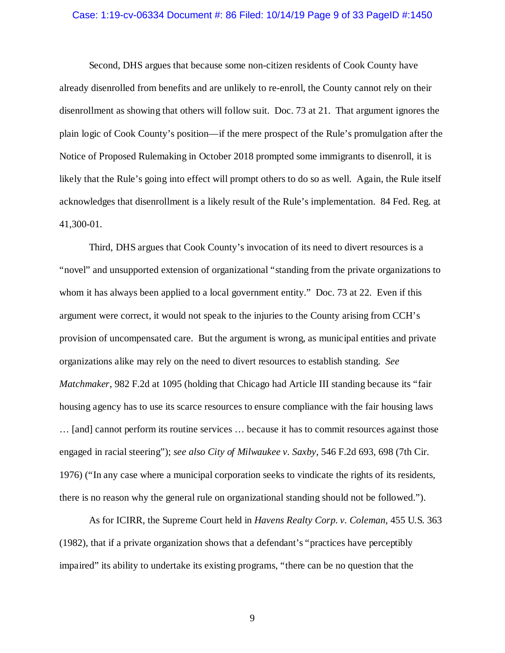## Case: 1:19-cv-06334 Document #: 86 Filed: 10/14/19 Page 9 of 33 PageID #:1450

Second, DHS argues that because some non-citizen residents of Cook County have already disenrolled from benefits and are unlikely to re-enroll, the County cannot rely on their disenrollment as showing that others will follow suit. Doc. 73 at 21. That argument ignores the plain logic of Cook County's position—if the mere prospect of the Rule's promulgation after the Notice of Proposed Rulemaking in October 2018 prompted some immigrants to disenroll, it is likely that the Rule's going into effect will prompt others to do so as well. Again, the Rule itself acknowledges that disenrollment is a likely result of the Rule's implementation. 84 Fed. Reg. at 41,300-01.

Third, DHS argues that Cook County's invocation of its need to divert resources is a "novel" and unsupported extension of organizational "standing from the private organizations to whom it has always been applied to a local government entity." Doc. 73 at 22. Even if this argument were correct, it would not speak to the injuries to the County arising from CCH's provision of uncompensated care. But the argument is wrong, as municipal entities and private organizations alike may rely on the need to divert resources to establish standing. *See Matchmaker*, 982 F.2d at 1095 (holding that Chicago had Article III standing because its "fair housing agency has to use its scarce resources to ensure compliance with the fair housing laws … [and] cannot perform its routine services … because it has to commit resources against those engaged in racial steering"); *see also City of Milwaukee v. Saxby*, 546 F.2d 693, 698 (7th Cir. 1976) ("In any case where a municipal corporation seeks to vindicate the rights of its residents, there is no reason why the general rule on organizational standing should not be followed.").

As for ICIRR, the Supreme Court held in *Havens Realty Corp. v. Coleman*, 455 U.S. 363 (1982), that if a private organization shows that a defendant's "practices have perceptibly impaired" its ability to undertake its existing programs, "there can be no question that the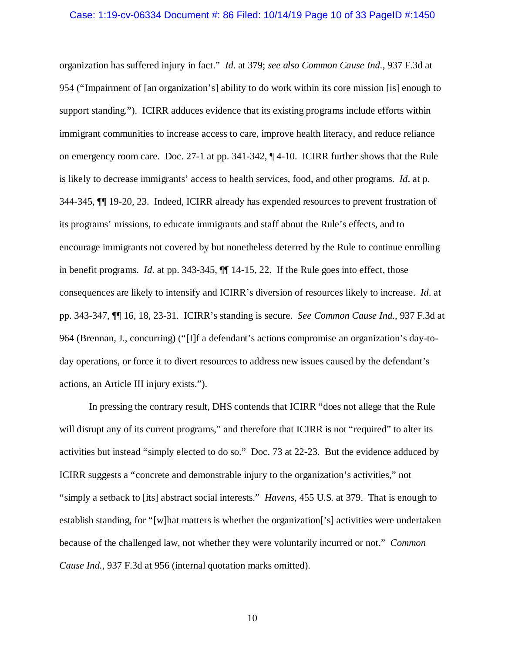organization has suffered injury in fact." *Id*. at 379; *see also Common Cause Ind.*, 937 F.3d at 954 ("Impairment of [an organization's] ability to do work within its core mission [is] enough to support standing."). ICIRR adduces evidence that its existing programs include efforts within immigrant communities to increase access to care, improve health literacy, and reduce reliance on emergency room care. Doc. 27-1 at pp. 341-342, ¶ 4-10. ICIRR further shows that the Rule is likely to decrease immigrants' access to health services, food, and other programs. *Id*. at p. 344-345, ¶¶ 19-20, 23. Indeed, ICIRR already has expended resources to prevent frustration of its programs' missions, to educate immigrants and staff about the Rule's effects, and to encourage immigrants not covered by but nonetheless deterred by the Rule to continue enrolling in benefit programs. *Id*. at pp. 343-345, ¶¶ 14-15, 22. If the Rule goes into effect, those consequences are likely to intensify and ICIRR's diversion of resources likely to increase. *Id*. at pp. 343-347, ¶¶ 16, 18, 23-31. ICIRR's standing is secure. *See Common Cause Ind.*, 937 F.3d at 964 (Brennan, J., concurring) ("[I]f a defendant's actions compromise an organization's day-today operations, or force it to divert resources to address new issues caused by the defendant's actions, an Article III injury exists.").

In pressing the contrary result, DHS contends that ICIRR "does not allege that the Rule will disrupt any of its current programs," and therefore that ICIRR is not "required" to alter its activities but instead "simply elected to do so." Doc. 73 at 22-23. But the evidence adduced by ICIRR suggests a "concrete and demonstrable injury to the organization's activities," not "simply a setback to [its] abstract social interests." *Havens*, 455 U.S. at 379. That is enough to establish standing, for "[w]hat matters is whether the organization['s] activities were undertaken because of the challenged law, not whether they were voluntarily incurred or not." *Common Cause Ind.*, 937 F.3d at 956 (internal quotation marks omitted).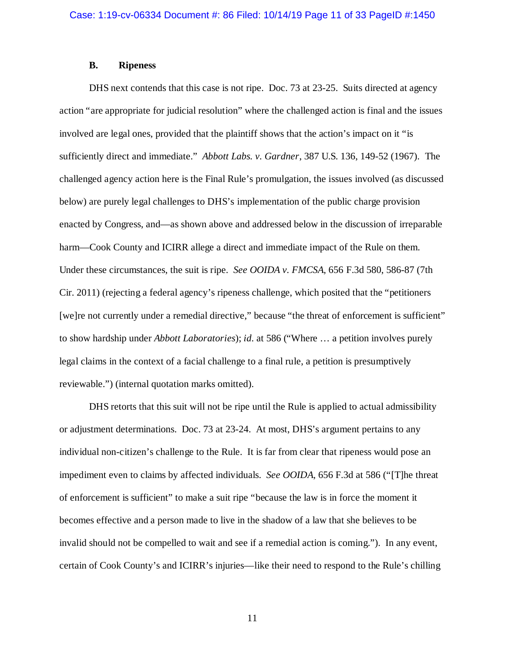## **B. Ripeness**

DHS next contends that this case is not ripe. Doc. 73 at 23-25. Suits directed at agency action "are appropriate for judicial resolution" where the challenged action is final and the issues involved are legal ones, provided that the plaintiff shows that the action's impact on it "is sufficiently direct and immediate." *Abbott Labs. v. Gardner*, 387 U.S. 136, 149-52 (1967). The challenged agency action here is the Final Rule's promulgation, the issues involved (as discussed below) are purely legal challenges to DHS's implementation of the public charge provision enacted by Congress, and—as shown above and addressed below in the discussion of irreparable harm—Cook County and ICIRR allege a direct and immediate impact of the Rule on them. Under these circumstances, the suit is ripe. *See OOIDA v. FMCSA*, 656 F.3d 580, 586-87 (7th Cir. 2011) (rejecting a federal agency's ripeness challenge, which posited that the "petitioners [we]re not currently under a remedial directive," because "the threat of enforcement is sufficient" to show hardship under *Abbott Laboratories*); *id*. at 586 ("Where … a petition involves purely legal claims in the context of a facial challenge to a final rule, a petition is presumptively reviewable.") (internal quotation marks omitted).

DHS retorts that this suit will not be ripe until the Rule is applied to actual admissibility or adjustment determinations. Doc. 73 at 23-24. At most, DHS's argument pertains to any individual non-citizen's challenge to the Rule. It is far from clear that ripeness would pose an impediment even to claims by affected individuals. *See OOIDA*, 656 F.3d at 586 ("[T]he threat of enforcement is sufficient" to make a suit ripe "because the law is in force the moment it becomes effective and a person made to live in the shadow of a law that she believes to be invalid should not be compelled to wait and see if a remedial action is coming."). In any event, certain of Cook County's and ICIRR's injuries—like their need to respond to the Rule's chilling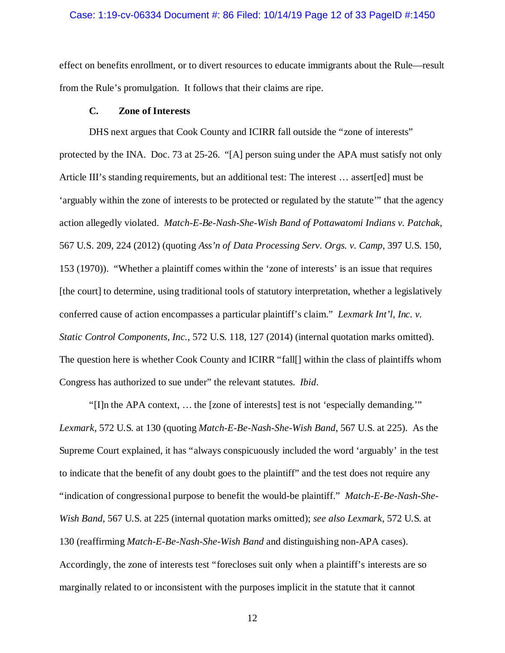### Case: 1:19-cv-06334 Document #: 86 Filed: 10/14/19 Page 12 of 33 PageID #:1450

effect on benefits enrollment, or to divert resources to educate immigrants about the Rule—result from the Rule's promulgation. It follows that their claims are ripe.

## **C. Zone of Interests**

DHS next argues that Cook County and ICIRR fall outside the "zone of interests" protected by the INA. Doc. 73 at 25-26. "[A] person suing under the APA must satisfy not only Article III's standing requirements, but an additional test: The interest … assert[ed] must be 'arguably within the zone of interests to be protected or regulated by the statute'" that the agency action allegedly violated. *Match-E-Be-Nash-She-Wish Band of Pottawatomi Indians v. Patchak*, 567 U.S. 209, 224 (2012) (quoting *Ass'n of Data Processing Serv. Orgs. v. Camp*, 397 U.S. 150, 153 (1970)). "Whether a plaintiff comes within the 'zone of interests' is an issue that requires [the court] to determine, using traditional tools of statutory interpretation, whether a legislatively conferred cause of action encompasses a particular plaintiff's claim." *Lexmark Int'l, Inc. v. Static Control Components, Inc.*, 572 U.S. 118, 127 (2014) (internal quotation marks omitted). The question here is whether Cook County and ICIRR "fall[] within the class of plaintiffs whom Congress has authorized to sue under" the relevant statutes. *Ibid*.

"[I]n the APA context, … the [zone of interests] test is not 'especially demanding.'" *Lexmark*, 572 U.S. at 130 (quoting *Match-E-Be-Nash-She-Wish Band*, 567 U.S. at 225). As the Supreme Court explained, it has "always conspicuously included the word 'arguably' in the test to indicate that the benefit of any doubt goes to the plaintiff" and the test does not require any "indication of congressional purpose to benefit the would-be plaintiff." *Match-E-Be-Nash-She-Wish Band*, 567 U.S. at 225 (internal quotation marks omitted); *see also Lexmark*, 572 U.S. at 130 (reaffirming *Match-E-Be-Nash-She-Wish Band* and distinguishing non-APA cases). Accordingly, the zone of interests test "forecloses suit only when a plaintiff's interests are so marginally related to or inconsistent with the purposes implicit in the statute that it cannot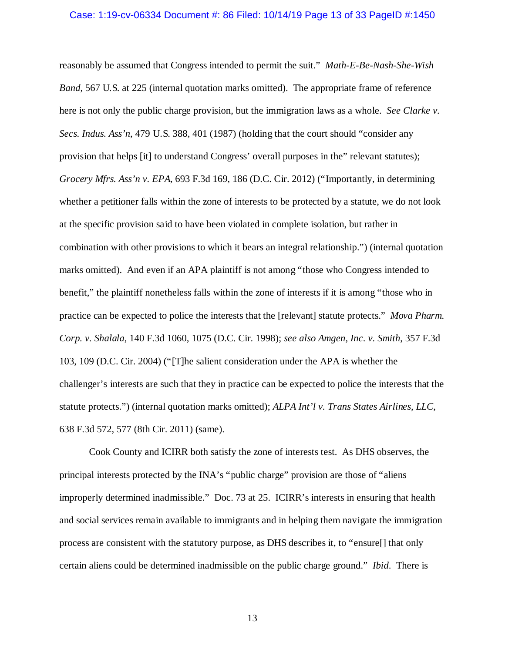#### Case: 1:19-cv-06334 Document #: 86 Filed: 10/14/19 Page 13 of 33 PageID #:1450

reasonably be assumed that Congress intended to permit the suit." *Math-E-Be-Nash-She-Wish Band*, 567 U.S. at 225 (internal quotation marks omitted). The appropriate frame of reference here is not only the public charge provision, but the immigration laws as a whole. *See Clarke v. Secs. Indus. Ass'n*, 479 U.S. 388, 401 (1987) (holding that the court should "consider any provision that helps [it] to understand Congress' overall purposes in the" relevant statutes); *Grocery Mfrs. Ass'n v. EPA*, 693 F.3d 169, 186 (D.C. Cir. 2012) ("Importantly, in determining whether a petitioner falls within the zone of interests to be protected by a statute, we do not look at the specific provision said to have been violated in complete isolation, but rather in combination with other provisions to which it bears an integral relationship.") (internal quotation marks omitted). And even if an APA plaintiff is not among "those who Congress intended to benefit," the plaintiff nonetheless falls within the zone of interests if it is among "those who in practice can be expected to police the interests that the [relevant] statute protects." *Mova Pharm. Corp. v. Shalala*, 140 F.3d 1060, 1075 (D.C. Cir. 1998); *see also Amgen, Inc. v. Smith*, 357 F.3d 103, 109 (D.C. Cir. 2004) ("[T]he salient consideration under the APA is whether the challenger's interests are such that they in practice can be expected to police the interests that the statute protects.") (internal quotation marks omitted); *ALPA Int'l v. Trans States Airlines, LLC*, 638 F.3d 572, 577 (8th Cir. 2011) (same).

Cook County and ICIRR both satisfy the zone of interests test. As DHS observes, the principal interests protected by the INA's "public charge" provision are those of "aliens improperly determined inadmissible." Doc. 73 at 25. ICIRR's interests in ensuring that health and social services remain available to immigrants and in helping them navigate the immigration process are consistent with the statutory purpose, as DHS describes it, to "ensure[] that only certain aliens could be determined inadmissible on the public charge ground." *Ibid*. There is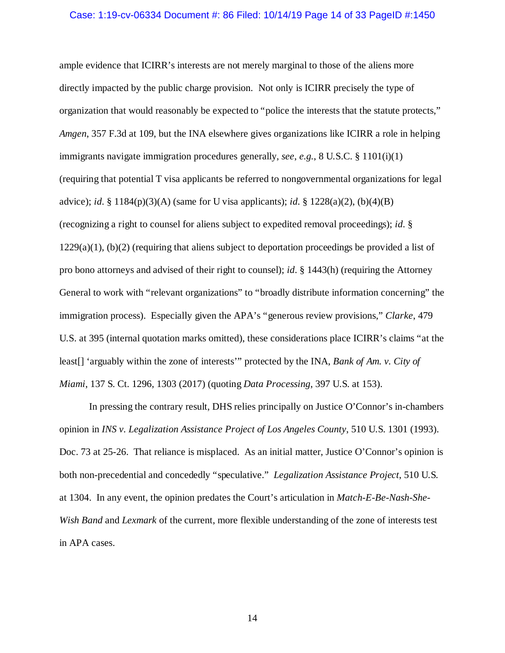### Case: 1:19-cv-06334 Document #: 86 Filed: 10/14/19 Page 14 of 33 PageID #:1450

ample evidence that ICIRR's interests are not merely marginal to those of the aliens more directly impacted by the public charge provision. Not only is ICIRR precisely the type of organization that would reasonably be expected to "police the interests that the statute protects," *Amgen*, 357 F.3d at 109, but the INA elsewhere gives organizations like ICIRR a role in helping immigrants navigate immigration procedures generally, *see*, *e.g.*, 8 U.S.C. § 1101(i)(1) (requiring that potential T visa applicants be referred to nongovernmental organizations for legal advice); *id*. § 1184(p)(3)(A) (same for U visa applicants); *id*. § 1228(a)(2), (b)(4)(B) (recognizing a right to counsel for aliens subject to expedited removal proceedings); *id*. §  $1229(a)(1)$ , (b)(2) (requiring that aliens subject to deportation proceedings be provided a list of pro bono attorneys and advised of their right to counsel); *id*. § 1443(h) (requiring the Attorney General to work with "relevant organizations" to "broadly distribute information concerning" the immigration process). Especially given the APA's "generous review provisions," *Clarke*, 479 U.S. at 395 (internal quotation marks omitted), these considerations place ICIRR's claims "at the least[] 'arguably within the zone of interests'" protected by the INA, *Bank of Am. v. City of Miami*, 137 S. Ct. 1296, 1303 (2017) (quoting *Data Processing*, 397 U.S. at 153).

In pressing the contrary result, DHS relies principally on Justice O'Connor's in-chambers opinion in *INS v. Legalization Assistance Project of Los Angeles County*, 510 U.S. 1301 (1993). Doc. 73 at 25-26. That reliance is misplaced. As an initial matter, Justice O'Connor's opinion is both non-precedential and concededly "speculative." *Legalization Assistance Project*, 510 U.S. at 1304. In any event, the opinion predates the Court's articulation in *Match-E-Be-Nash-She-Wish Band* and *Lexmark* of the current, more flexible understanding of the zone of interests test in APA cases.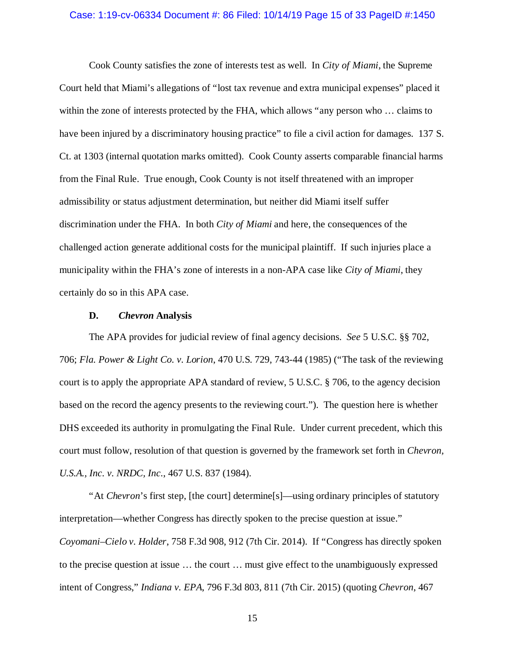## Case: 1:19-cv-06334 Document #: 86 Filed: 10/14/19 Page 15 of 33 PageID #:1450

Cook County satisfies the zone of interests test as well. In *City of Miami*, the Supreme Court held that Miami's allegations of "lost tax revenue and extra municipal expenses" placed it within the zone of interests protected by the FHA, which allows "any person who … claims to have been injured by a discriminatory housing practice" to file a civil action for damages. 137 S. Ct. at 1303 (internal quotation marks omitted). Cook County asserts comparable financial harms from the Final Rule. True enough, Cook County is not itself threatened with an improper admissibility or status adjustment determination, but neither did Miami itself suffer discrimination under the FHA. In both *City of Miami* and here, the consequences of the challenged action generate additional costs for the municipal plaintiff. If such injuries place a municipality within the FHA's zone of interests in a non-APA case like *City of Miami*, they certainly do so in this APA case.

## **D.** *Chevron* **Analysis**

The APA provides for judicial review of final agency decisions. *See* 5 U.S.C. §§ 702, 706; *Fla. Power & Light Co. v. Lorion*, 470 U.S. 729, 743-44 (1985) ("The task of the reviewing court is to apply the appropriate APA standard of review, 5 U.S.C. § 706, to the agency decision based on the record the agency presents to the reviewing court."). The question here is whether DHS exceeded its authority in promulgating the Final Rule. Under current precedent, which this court must follow, resolution of that question is governed by the framework set forth in *Chevron, U.S.A., Inc. v. NRDC, Inc.*, 467 U.S. 837 (1984).

"At *Chevron*'s first step, [the court] determine[s]—using ordinary principles of statutory interpretation—whether Congress has directly spoken to the precise question at issue." *Coyomani–Cielo v. Holder*, 758 F.3d 908, 912 (7th Cir. 2014). If "Congress has directly spoken to the precise question at issue … the court … must give effect to the unambiguously expressed intent of Congress," *Indiana v. EPA*, 796 F.3d 803, 811 (7th Cir. 2015) (quoting *Chevron*, 467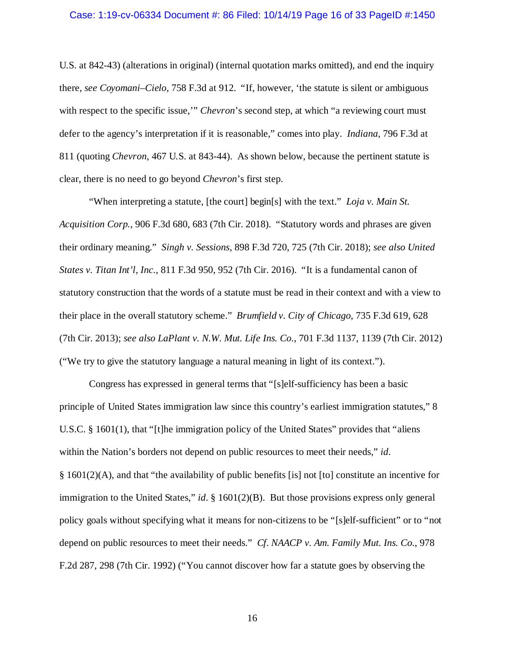#### Case: 1:19-cv-06334 Document #: 86 Filed: 10/14/19 Page 16 of 33 PageID #:1450

U.S. at 842-43) (alterations in original) (internal quotation marks omitted), and end the inquiry there, *see Coyomani–Cielo*, 758 F.3d at 912. "If, however, 'the statute is silent or ambiguous with respect to the specific issue," *Chevron*'s second step, at which "a reviewing court must defer to the agency's interpretation if it is reasonable," comes into play. *Indiana*, 796 F.3d at 811 (quoting *Chevron*, 467 U.S. at 843-44). As shown below, because the pertinent statute is clear, there is no need to go beyond *Chevron*'s first step.

"When interpreting a statute, [the court] begin[s] with the text." *Loja v. Main St. Acquisition Corp.*, 906 F.3d 680, 683 (7th Cir. 2018). "Statutory words and phrases are given their ordinary meaning." *Singh v. Sessions*, 898 F.3d 720, 725 (7th Cir. 2018); *see also United States v. Titan Int'l, Inc.*, 811 F.3d 950, 952 (7th Cir. 2016). "It is a fundamental canon of statutory construction that the words of a statute must be read in their context and with a view to their place in the overall statutory scheme." *Brumfield v. City of Chicago*, 735 F.3d 619, 628 (7th Cir. 2013); *see also LaPlant v. N.W. Mut. Life Ins. Co.*, 701 F.3d 1137, 1139 (7th Cir. 2012) ("We try to give the statutory language a natural meaning in light of its context.").

Congress has expressed in general terms that "[s]elf-sufficiency has been a basic principle of United States immigration law since this country's earliest immigration statutes," 8 U.S.C. § 1601(1), that "[t]he immigration policy of the United States" provides that "aliens within the Nation's borders not depend on public resources to meet their needs," *id*. § 1601(2)(A), and that "the availability of public benefits [is] not [to] constitute an incentive for immigration to the United States," *id*. § 1601(2)(B). But those provisions express only general policy goals without specifying what it means for non-citizens to be "[s]elf-sufficient" or to "not depend on public resources to meet their needs." *Cf*. *NAACP v. Am. Family Mut. Ins. Co.*, 978 F.2d 287, 298 (7th Cir. 1992) ("You cannot discover how far a statute goes by observing the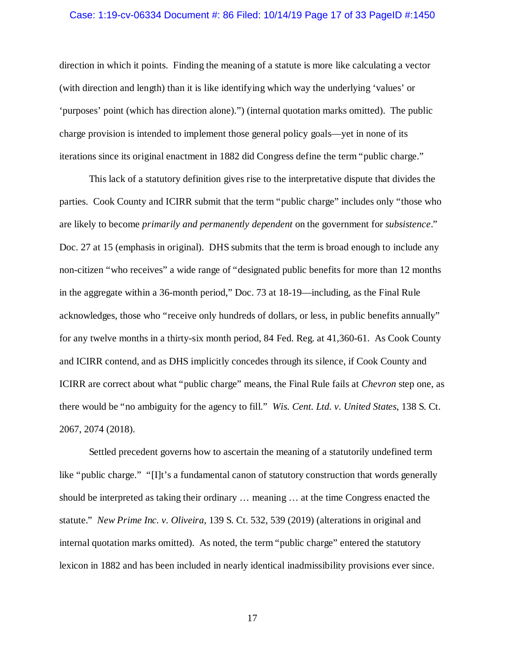### Case: 1:19-cv-06334 Document #: 86 Filed: 10/14/19 Page 17 of 33 PageID #:1450

direction in which it points. Finding the meaning of a statute is more like calculating a vector (with direction and length) than it is like identifying which way the underlying 'values' or 'purposes' point (which has direction alone).") (internal quotation marks omitted). The public charge provision is intended to implement those general policy goals—yet in none of its iterations since its original enactment in 1882 did Congress define the term "public charge."

This lack of a statutory definition gives rise to the interpretative dispute that divides the parties. Cook County and ICIRR submit that the term "public charge" includes only "those who are likely to become *primarily and permanently dependent* on the government for *subsistence*." Doc. 27 at 15 (emphasis in original). DHS submits that the term is broad enough to include any non-citizen "who receives" a wide range of "designated public benefits for more than 12 months in the aggregate within a 36-month period," Doc. 73 at 18-19—including, as the Final Rule acknowledges, those who "receive only hundreds of dollars, or less, in public benefits annually" for any twelve months in a thirty-six month period, 84 Fed. Reg. at 41,360-61. As Cook County and ICIRR contend, and as DHS implicitly concedes through its silence, if Cook County and ICIRR are correct about what "public charge" means, the Final Rule fails at *Chevron* step one, as there would be "no ambiguity for the agency to fill." *Wis. Cent. Ltd. v. United States*, 138 S. Ct. 2067, 2074 (2018).

Settled precedent governs how to ascertain the meaning of a statutorily undefined term like "public charge." "[I]t's a fundamental canon of statutory construction that words generally should be interpreted as taking their ordinary … meaning … at the time Congress enacted the statute." *New Prime Inc. v. Oliveira*, 139 S. Ct. 532, 539 (2019) (alterations in original and internal quotation marks omitted). As noted, the term "public charge" entered the statutory lexicon in 1882 and has been included in nearly identical inadmissibility provisions ever since.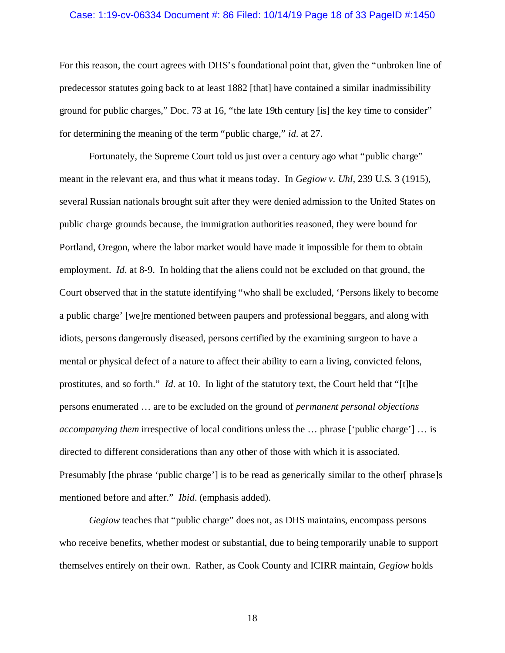## Case: 1:19-cv-06334 Document #: 86 Filed: 10/14/19 Page 18 of 33 PageID #:1450

For this reason, the court agrees with DHS's foundational point that, given the "unbroken line of predecessor statutes going back to at least 1882 [that] have contained a similar inadmissibility ground for public charges," Doc. 73 at 16, "the late 19th century [is] the key time to consider" for determining the meaning of the term "public charge," *id*. at 27.

Fortunately, the Supreme Court told us just over a century ago what "public charge" meant in the relevant era, and thus what it means today. In *Gegiow v. Uhl*, 239 U.S. 3 (1915), several Russian nationals brought suit after they were denied admission to the United States on public charge grounds because, the immigration authorities reasoned, they were bound for Portland, Oregon, where the labor market would have made it impossible for them to obtain employment. *Id*. at 8-9. In holding that the aliens could not be excluded on that ground, the Court observed that in the statute identifying "who shall be excluded, 'Persons likely to become a public charge' [we]re mentioned between paupers and professional beggars, and along with idiots, persons dangerously diseased, persons certified by the examining surgeon to have a mental or physical defect of a nature to affect their ability to earn a living, convicted felons, prostitutes, and so forth." *Id*. at 10. In light of the statutory text, the Court held that "[t]he persons enumerated … are to be excluded on the ground of *permanent personal objections accompanying them* irrespective of local conditions unless the … phrase ['public charge'] … is directed to different considerations than any other of those with which it is associated. Presumably [the phrase 'public charge'] is to be read as generically similar to the other[ phrase]s mentioned before and after." *Ibid*. (emphasis added).

*Gegiow* teaches that "public charge" does not, as DHS maintains, encompass persons who receive benefits, whether modest or substantial, due to being temporarily unable to support themselves entirely on their own. Rather, as Cook County and ICIRR maintain, *Gegiow* holds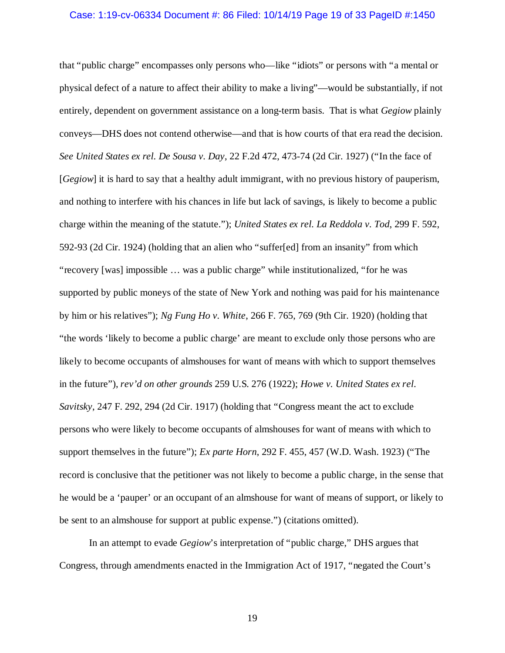#### Case: 1:19-cv-06334 Document #: 86 Filed: 10/14/19 Page 19 of 33 PageID #:1450

that "public charge" encompasses only persons who—like "idiots" or persons with "a mental or physical defect of a nature to affect their ability to make a living"—would be substantially, if not entirely, dependent on government assistance on a long-term basis. That is what *Gegiow* plainly conveys—DHS does not contend otherwise—and that is how courts of that era read the decision. *See United States ex rel. De Sousa v. Day*, 22 F.2d 472, 473-74 (2d Cir. 1927) ("In the face of [*Gegiow*] it is hard to say that a healthy adult immigrant, with no previous history of pauperism, and nothing to interfere with his chances in life but lack of savings, is likely to become a public charge within the meaning of the statute."); *United States ex rel. La Reddola v. Tod*, 299 F. 592, 592-93 (2d Cir. 1924) (holding that an alien who "suffer[ed] from an insanity" from which "recovery [was] impossible … was a public charge" while institutionalized, "for he was supported by public moneys of the state of New York and nothing was paid for his maintenance by him or his relatives"); *Ng Fung Ho v. White*, 266 F. 765, 769 (9th Cir. 1920) (holding that "the words 'likely to become a public charge' are meant to exclude only those persons who are likely to become occupants of almshouses for want of means with which to support themselves in the future"), *rev'd on other grounds* 259 U.S. 276 (1922); *Howe v. United States ex rel. Savitsky*, 247 F. 292, 294 (2d Cir. 1917) (holding that "Congress meant the act to exclude persons who were likely to become occupants of almshouses for want of means with which to support themselves in the future"); *Ex parte Horn*, 292 F. 455, 457 (W.D. Wash. 1923) ("The record is conclusive that the petitioner was not likely to become a public charge, in the sense that he would be a 'pauper' or an occupant of an almshouse for want of means of support, or likely to be sent to an almshouse for support at public expense.") (citations omitted).

In an attempt to evade *Gegiow*'s interpretation of "public charge," DHS argues that Congress, through amendments enacted in the Immigration Act of 1917, "negated the Court's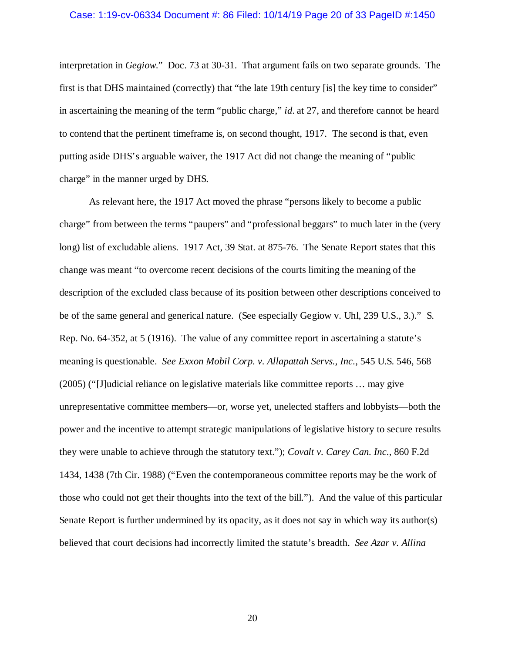#### Case: 1:19-cv-06334 Document #: 86 Filed: 10/14/19 Page 20 of 33 PageID #:1450

interpretation in *Gegiow*." Doc. 73 at 30-31. That argument fails on two separate grounds. The first is that DHS maintained (correctly) that "the late 19th century [is] the key time to consider" in ascertaining the meaning of the term "public charge," *id*. at 27, and therefore cannot be heard to contend that the pertinent timeframe is, on second thought, 1917. The second is that, even putting aside DHS's arguable waiver, the 1917 Act did not change the meaning of "public charge" in the manner urged by DHS.

As relevant here, the 1917 Act moved the phrase "persons likely to become a public charge" from between the terms "paupers" and "professional beggars" to much later in the (very long) list of excludable aliens. 1917 Act, 39 Stat. at 875-76. The Senate Report states that this change was meant "to overcome recent decisions of the courts limiting the meaning of the description of the excluded class because of its position between other descriptions conceived to be of the same general and generical nature. (See especially Gegiow v. Uhl, 239 U.S., 3.)." S. Rep. No. 64-352, at 5 (1916). The value of any committee report in ascertaining a statute's meaning is questionable. *See Exxon Mobil Corp. v. Allapattah Servs., Inc.*, 545 U.S. 546, 568 (2005) ("[J]udicial reliance on legislative materials like committee reports … may give unrepresentative committee members—or, worse yet, unelected staffers and lobbyists—both the power and the incentive to attempt strategic manipulations of legislative history to secure results they were unable to achieve through the statutory text."); *Covalt v. Carey Can. Inc.*, 860 F.2d 1434, 1438 (7th Cir. 1988) ("Even the contemporaneous committee reports may be the work of those who could not get their thoughts into the text of the bill."). And the value of this particular Senate Report is further undermined by its opacity, as it does not say in which way its author(s) believed that court decisions had incorrectly limited the statute's breadth. *See Azar v. Allina*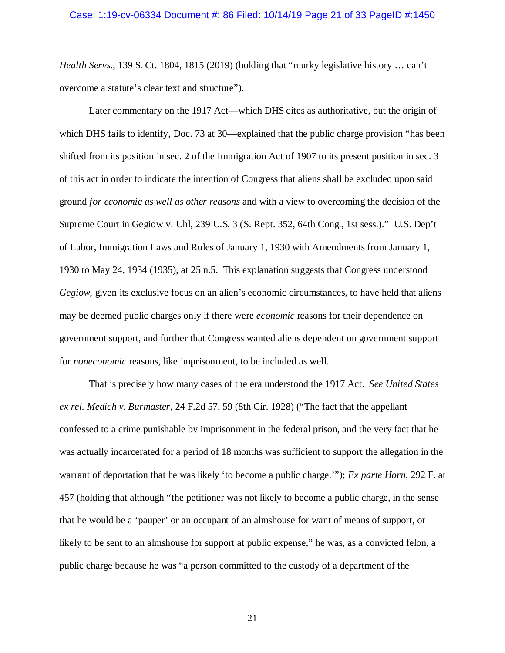### Case: 1:19-cv-06334 Document #: 86 Filed: 10/14/19 Page 21 of 33 PageID #:1450

*Health Servs.*, 139 S. Ct. 1804, 1815 (2019) (holding that "murky legislative history … can't overcome a statute's clear text and structure").

Later commentary on the 1917 Act—which DHS cites as authoritative, but the origin of which DHS fails to identify, Doc. 73 at 30—explained that the public charge provision "has been shifted from its position in sec. 2 of the Immigration Act of 1907 to its present position in sec. 3 of this act in order to indicate the intention of Congress that aliens shall be excluded upon said ground *for economic as well as other reasons* and with a view to overcoming the decision of the Supreme Court in Gegiow v. Uhl, 239 U.S. 3 (S. Rept. 352, 64th Cong., 1st sess.)." U.S. Dep't of Labor, Immigration Laws and Rules of January 1, 1930 with Amendments from January 1, 1930 to May 24, 1934 (1935), at 25 n.5. This explanation suggests that Congress understood *Gegiow*, given its exclusive focus on an alien's economic circumstances, to have held that aliens may be deemed public charges only if there were *economic* reasons for their dependence on government support, and further that Congress wanted aliens dependent on government support for *noneconomic* reasons, like imprisonment, to be included as well.

That is precisely how many cases of the era understood the 1917 Act. *See United States ex rel. Medich v. Burmaster*, 24 F.2d 57, 59 (8th Cir. 1928) ("The fact that the appellant confessed to a crime punishable by imprisonment in the federal prison, and the very fact that he was actually incarcerated for a period of 18 months was sufficient to support the allegation in the warrant of deportation that he was likely 'to become a public charge.'"); *Ex parte Horn*, 292 F. at 457 (holding that although "the petitioner was not likely to become a public charge, in the sense that he would be a 'pauper' or an occupant of an almshouse for want of means of support, or likely to be sent to an almshouse for support at public expense," he was, as a convicted felon, a public charge because he was "a person committed to the custody of a department of the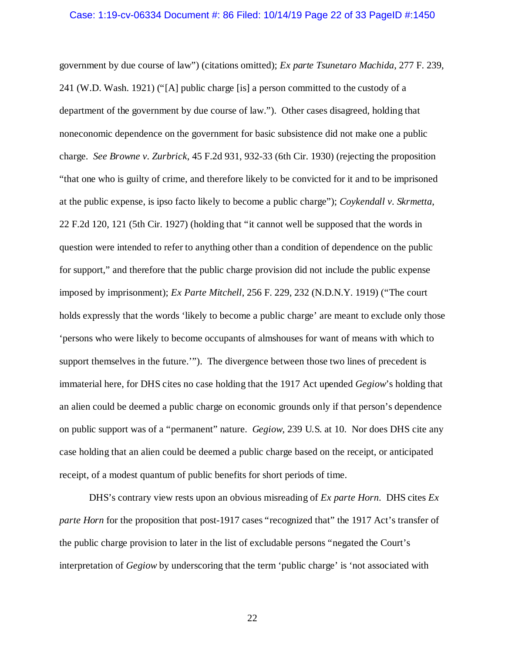government by due course of law") (citations omitted); *Ex parte Tsunetaro Machida*, 277 F. 239, 241 (W.D. Wash. 1921) ("[A] public charge [is] a person committed to the custody of a department of the government by due course of law."). Other cases disagreed, holding that noneconomic dependence on the government for basic subsistence did not make one a public charge. *See Browne v. Zurbrick*, 45 F.2d 931, 932-33 (6th Cir. 1930) (rejecting the proposition "that one who is guilty of crime, and therefore likely to be convicted for it and to be imprisoned at the public expense, is ipso facto likely to become a public charge"); *Coykendall v. Skrmetta*, 22 F.2d 120, 121 (5th Cir. 1927) (holding that "it cannot well be supposed that the words in question were intended to refer to anything other than a condition of dependence on the public for support," and therefore that the public charge provision did not include the public expense imposed by imprisonment); *Ex Parte Mitchell*, 256 F. 229, 232 (N.D.N.Y. 1919) ("The court holds expressly that the words 'likely to become a public charge' are meant to exclude only those 'persons who were likely to become occupants of almshouses for want of means with which to support themselves in the future.'"). The divergence between those two lines of precedent is immaterial here, for DHS cites no case holding that the 1917 Act upended *Gegiow*'s holding that an alien could be deemed a public charge on economic grounds only if that person's dependence on public support was of a "permanent" nature. *Gegiow*, 239 U.S. at 10. Nor does DHS cite any case holding that an alien could be deemed a public charge based on the receipt, or anticipated receipt, of a modest quantum of public benefits for short periods of time.

DHS's contrary view rests upon an obvious misreading of *Ex parte Horn*. DHS cites *Ex parte Horn* for the proposition that post-1917 cases "recognized that" the 1917 Act's transfer of the public charge provision to later in the list of excludable persons "negated the Court's interpretation of *Gegiow* by underscoring that the term 'public charge' is 'not associated with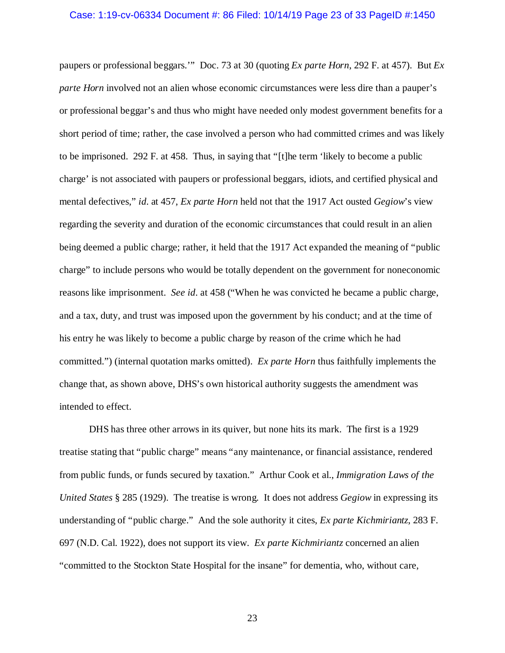#### Case: 1:19-cv-06334 Document #: 86 Filed: 10/14/19 Page 23 of 33 PageID #:1450

paupers or professional beggars.'" Doc. 73 at 30 (quoting *Ex parte Horn*, 292 F. at 457). But *Ex parte Horn* involved not an alien whose economic circumstances were less dire than a pauper's or professional beggar's and thus who might have needed only modest government benefits for a short period of time; rather, the case involved a person who had committed crimes and was likely to be imprisoned. 292 F. at 458. Thus, in saying that "[t]he term 'likely to become a public charge' is not associated with paupers or professional beggars, idiots, and certified physical and mental defectives," *id*. at 457, *Ex parte Horn* held not that the 1917 Act ousted *Gegiow*'s view regarding the severity and duration of the economic circumstances that could result in an alien being deemed a public charge; rather, it held that the 1917 Act expanded the meaning of "public charge" to include persons who would be totally dependent on the government for noneconomic reasons like imprisonment. *See id*. at 458 ("When he was convicted he became a public charge, and a tax, duty, and trust was imposed upon the government by his conduct; and at the time of his entry he was likely to become a public charge by reason of the crime which he had committed.") (internal quotation marks omitted). *Ex parte Horn* thus faithfully implements the change that, as shown above, DHS's own historical authority suggests the amendment was intended to effect.

DHS has three other arrows in its quiver, but none hits its mark. The first is a 1929 treatise stating that "public charge" means "any maintenance, or financial assistance, rendered from public funds, or funds secured by taxation." Arthur Cook et al., *Immigration Laws of the United States* § 285 (1929). The treatise is wrong. It does not address *Gegiow* in expressing its understanding of "public charge." And the sole authority it cites, *Ex parte Kichmiriantz*, 283 F. 697 (N.D. Cal. 1922), does not support its view. *Ex parte Kichmiriantz* concerned an alien "committed to the Stockton State Hospital for the insane" for dementia, who, without care,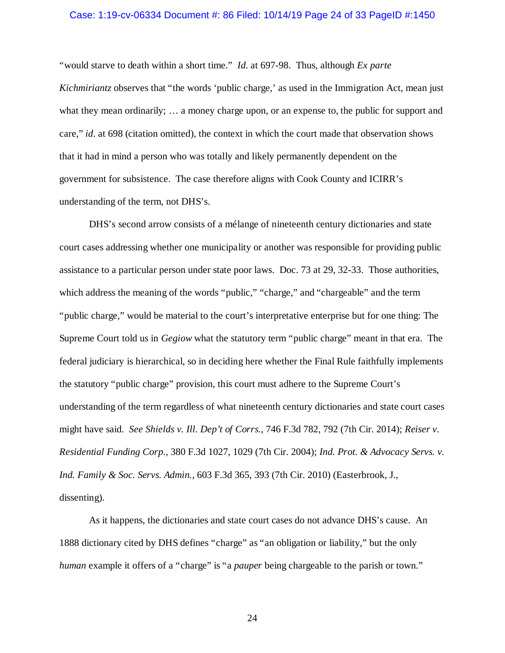### Case: 1:19-cv-06334 Document #: 86 Filed: 10/14/19 Page 24 of 33 PageID #:1450

"would starve to death within a short time." *Id*. at 697-98. Thus, although *Ex parte Kichmiriantz* observes that "the words 'public charge,' as used in the Immigration Act, mean just what they mean ordinarily; ... a money charge upon, or an expense to, the public for support and care," *id*. at 698 (citation omitted), the context in which the court made that observation shows that it had in mind a person who was totally and likely permanently dependent on the government for subsistence. The case therefore aligns with Cook County and ICIRR's understanding of the term, not DHS's.

DHS's second arrow consists of a mélange of nineteenth century dictionaries and state court cases addressing whether one municipality or another was responsible for providing public assistance to a particular person under state poor laws. Doc. 73 at 29, 32-33. Those authorities, which address the meaning of the words "public," "charge," and "chargeable" and the term "public charge," would be material to the court's interpretative enterprise but for one thing: The Supreme Court told us in *Gegiow* what the statutory term "public charge" meant in that era. The federal judiciary is hierarchical, so in deciding here whether the Final Rule faithfully implements the statutory "public charge" provision, this court must adhere to the Supreme Court's understanding of the term regardless of what nineteenth century dictionaries and state court cases might have said. *See Shields v. Ill. Dep't of Corrs.*, 746 F.3d 782, 792 (7th Cir. 2014); *Reiser v. Residential Funding Corp.*, 380 F.3d 1027, 1029 (7th Cir. 2004); *Ind. Prot. & Advocacy Servs. v. Ind. Family & Soc. Servs. Admin.*, 603 F.3d 365, 393 (7th Cir. 2010) (Easterbrook, J., dissenting).

As it happens, the dictionaries and state court cases do not advance DHS's cause. An 1888 dictionary cited by DHS defines "charge" as "an obligation or liability," but the only *human* example it offers of a "charge" is "a *pauper* being chargeable to the parish or town."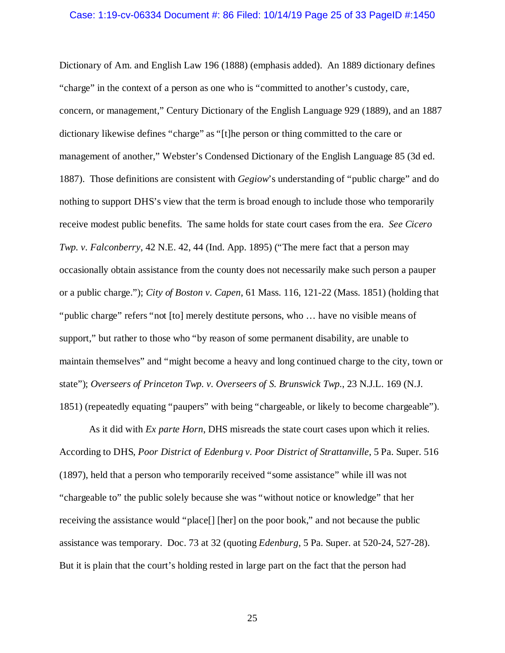### Case: 1:19-cv-06334 Document #: 86 Filed: 10/14/19 Page 25 of 33 PageID #:1450

Dictionary of Am. and English Law 196 (1888) (emphasis added). An 1889 dictionary defines "charge" in the context of a person as one who is "committed to another's custody, care, concern, or management," Century Dictionary of the English Language 929 (1889), and an 1887 dictionary likewise defines "charge" as "[t]he person or thing committed to the care or management of another," Webster's Condensed Dictionary of the English Language 85 (3d ed. 1887). Those definitions are consistent with *Gegiow*'s understanding of "public charge" and do nothing to support DHS's view that the term is broad enough to include those who temporarily receive modest public benefits. The same holds for state court cases from the era. *See Cicero Twp. v. Falconberry*, 42 N.E. 42, 44 (Ind. App. 1895) ("The mere fact that a person may occasionally obtain assistance from the county does not necessarily make such person a pauper or a public charge."); *City of Boston v. Capen*, 61 Mass. 116, 121-22 (Mass. 1851) (holding that "public charge" refers "not [to] merely destitute persons, who … have no visible means of support," but rather to those who "by reason of some permanent disability, are unable to maintain themselves" and "might become a heavy and long continued charge to the city, town or state"); *Overseers of Princeton Twp. v. Overseers of S. Brunswick Twp.*, 23 N.J.L. 169 (N.J. 1851) (repeatedly equating "paupers" with being "chargeable, or likely to become chargeable").

As it did with *Ex parte Horn*, DHS misreads the state court cases upon which it relies. According to DHS, *Poor District of Edenburg v. Poor District of Strattanville*, 5 Pa. Super. 516 (1897), held that a person who temporarily received "some assistance" while ill was not "chargeable to" the public solely because she was "without notice or knowledge" that her receiving the assistance would "place[] [her] on the poor book," and not because the public assistance was temporary. Doc. 73 at 32 (quoting *Edenburg*, 5 Pa. Super. at 520-24, 527-28). But it is plain that the court's holding rested in large part on the fact that the person had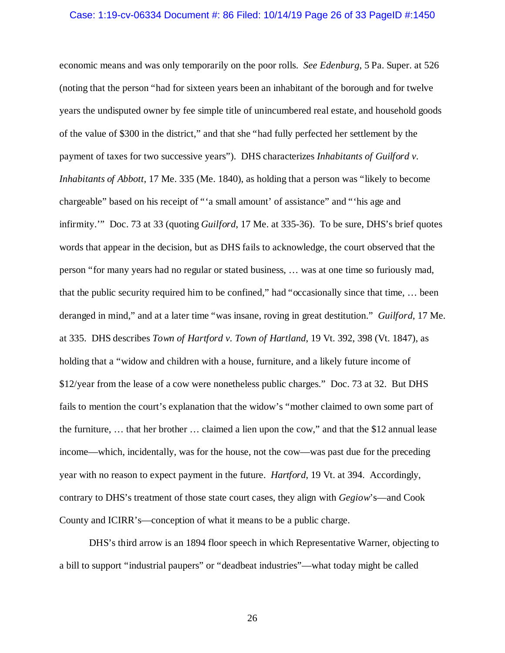#### Case: 1:19-cv-06334 Document #: 86 Filed: 10/14/19 Page 26 of 33 PageID #:1450

economic means and was only temporarily on the poor rolls. *See Edenburg*, 5 Pa. Super. at 526 (noting that the person "had for sixteen years been an inhabitant of the borough and for twelve years the undisputed owner by fee simple title of unincumbered real estate, and household goods of the value of \$300 in the district," and that she "had fully perfected her settlement by the payment of taxes for two successive years"). DHS characterizes *Inhabitants of Guilford v. Inhabitants of Abbott*, 17 Me. 335 (Me. 1840), as holding that a person was "likely to become chargeable" based on his receipt of "'a small amount' of assistance" and "'his age and infirmity.'" Doc. 73 at 33 (quoting *Guilford*, 17 Me. at 335-36). To be sure, DHS's brief quotes words that appear in the decision, but as DHS fails to acknowledge, the court observed that the person "for many years had no regular or stated business, … was at one time so furiously mad, that the public security required him to be confined," had "occasionally since that time, … been deranged in mind," and at a later time "was insane, roving in great destitution." *Guilford*, 17 Me. at 335. DHS describes *Town of Hartford v. Town of Hartland*, 19 Vt. 392, 398 (Vt. 1847), as holding that a "widow and children with a house, furniture, and a likely future income of \$12/year from the lease of a cow were nonetheless public charges." Doc. 73 at 32. But DHS fails to mention the court's explanation that the widow's "mother claimed to own some part of the furniture, … that her brother … claimed a lien upon the cow," and that the \$12 annual lease income—which, incidentally, was for the house, not the cow—was past due for the preceding year with no reason to expect payment in the future. *Hartford*, 19 Vt. at 394. Accordingly, contrary to DHS's treatment of those state court cases, they align with *Gegiow*'s—and Cook County and ICIRR's—conception of what it means to be a public charge.

DHS's third arrow is an 1894 floor speech in which Representative Warner, objecting to a bill to support "industrial paupers" or "deadbeat industries"—what today might be called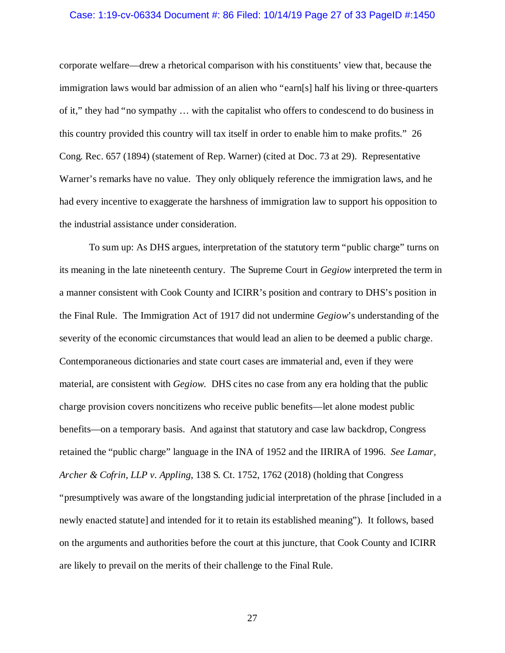### Case: 1:19-cv-06334 Document #: 86 Filed: 10/14/19 Page 27 of 33 PageID #:1450

corporate welfare—drew a rhetorical comparison with his constituents' view that, because the immigration laws would bar admission of an alien who "earn[s] half his living or three-quarters of it," they had "no sympathy … with the capitalist who offers to condescend to do business in this country provided this country will tax itself in order to enable him to make profits." 26 Cong. Rec. 657 (1894) (statement of Rep. Warner) (cited at Doc. 73 at 29). Representative Warner's remarks have no value. They only obliquely reference the immigration laws, and he had every incentive to exaggerate the harshness of immigration law to support his opposition to the industrial assistance under consideration.

To sum up: As DHS argues, interpretation of the statutory term "public charge" turns on its meaning in the late nineteenth century. The Supreme Court in *Gegiow* interpreted the term in a manner consistent with Cook County and ICIRR's position and contrary to DHS's position in the Final Rule. The Immigration Act of 1917 did not undermine *Gegiow*'s understanding of the severity of the economic circumstances that would lead an alien to be deemed a public charge. Contemporaneous dictionaries and state court cases are immaterial and, even if they were material, are consistent with *Gegiow*. DHS cites no case from any era holding that the public charge provision covers noncitizens who receive public benefits—let alone modest public benefits—on a temporary basis. And against that statutory and case law backdrop, Congress retained the "public charge" language in the INA of 1952 and the IIRIRA of 1996. *See Lamar, Archer & Cofrin, LLP v. Appling*, 138 S. Ct. 1752, 1762 (2018) (holding that Congress "presumptively was aware of the longstanding judicial interpretation of the phrase [included in a newly enacted statute] and intended for it to retain its established meaning"). It follows, based on the arguments and authorities before the court at this juncture, that Cook County and ICIRR are likely to prevail on the merits of their challenge to the Final Rule.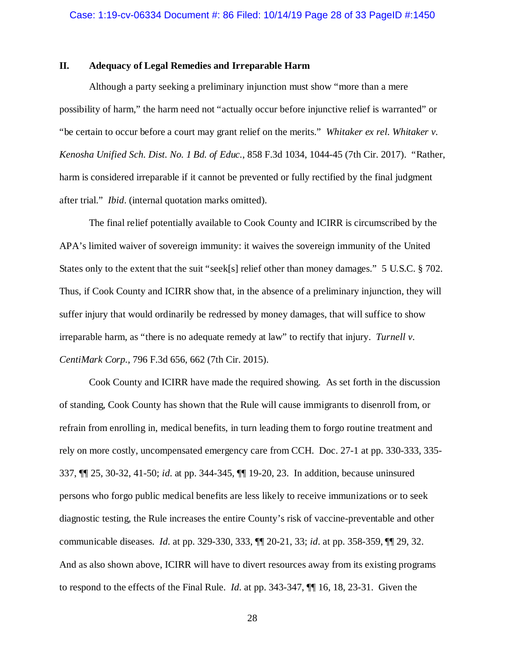## **II. Adequacy of Legal Remedies and Irreparable Harm**

Although a party seeking a preliminary injunction must show "more than a mere possibility of harm," the harm need not "actually occur before injunctive relief is warranted" or "be certain to occur before a court may grant relief on the merits." *Whitaker ex rel. Whitaker v. Kenosha Unified Sch. Dist. No. 1 Bd. of Educ.*, 858 F.3d 1034, 1044-45 (7th Cir. 2017). "Rather, harm is considered irreparable if it cannot be prevented or fully rectified by the final judgment after trial." *Ibid*. (internal quotation marks omitted).

The final relief potentially available to Cook County and ICIRR is circumscribed by the APA's limited waiver of sovereign immunity: it waives the sovereign immunity of the United States only to the extent that the suit "seek[s] relief other than money damages." 5 U.S.C. § 702. Thus, if Cook County and ICIRR show that, in the absence of a preliminary injunction, they will suffer injury that would ordinarily be redressed by money damages, that will suffice to show irreparable harm, as "there is no adequate remedy at law" to rectify that injury. *Turnell v. CentiMark Corp.*, 796 F.3d 656, 662 (7th Cir. 2015).

Cook County and ICIRR have made the required showing. As set forth in the discussion of standing, Cook County has shown that the Rule will cause immigrants to disenroll from, or refrain from enrolling in, medical benefits, in turn leading them to forgo routine treatment and rely on more costly, uncompensated emergency care from CCH. Doc. 27-1 at pp. 330-333, 335- 337, ¶¶ 25, 30-32, 41-50; *id*. at pp. 344-345, ¶¶ 19-20, 23. In addition, because uninsured persons who forgo public medical benefits are less likely to receive immunizations or to seek diagnostic testing, the Rule increases the entire County's risk of vaccine-preventable and other communicable diseases. *Id*. at pp. 329-330, 333, ¶¶ 20-21, 33; *id*. at pp. 358-359, ¶¶ 29, 32. And as also shown above, ICIRR will have to divert resources away from its existing programs to respond to the effects of the Final Rule. *Id*. at pp. 343-347, ¶¶ 16, 18, 23-31. Given the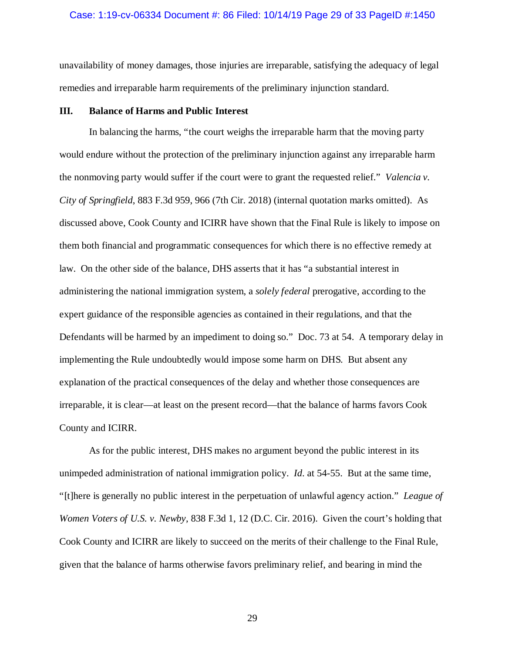### Case: 1:19-cv-06334 Document #: 86 Filed: 10/14/19 Page 29 of 33 PageID #:1450

unavailability of money damages, those injuries are irreparable, satisfying the adequacy of legal remedies and irreparable harm requirements of the preliminary injunction standard.

#### **III. Balance of Harms and Public Interest**

In balancing the harms, "the court weighs the irreparable harm that the moving party would endure without the protection of the preliminary injunction against any irreparable harm the nonmoving party would suffer if the court were to grant the requested relief." *Valencia v. City of Springfield*, 883 F.3d 959, 966 (7th Cir. 2018) (internal quotation marks omitted). As discussed above, Cook County and ICIRR have shown that the Final Rule is likely to impose on them both financial and programmatic consequences for which there is no effective remedy at law. On the other side of the balance, DHS asserts that it has "a substantial interest in administering the national immigration system, a *solely federal* prerogative, according to the expert guidance of the responsible agencies as contained in their regulations, and that the Defendants will be harmed by an impediment to doing so." Doc. 73 at 54. A temporary delay in implementing the Rule undoubtedly would impose some harm on DHS. But absent any explanation of the practical consequences of the delay and whether those consequences are irreparable, it is clear—at least on the present record—that the balance of harms favors Cook County and ICIRR.

As for the public interest, DHS makes no argument beyond the public interest in its unimpeded administration of national immigration policy. *Id*. at 54-55. But at the same time, "[t]here is generally no public interest in the perpetuation of unlawful agency action." *League of Women Voters of U.S. v. Newby*, 838 F.3d 1, 12 (D.C. Cir. 2016). Given the court's holding that Cook County and ICIRR are likely to succeed on the merits of their challenge to the Final Rule, given that the balance of harms otherwise favors preliminary relief, and bearing in mind the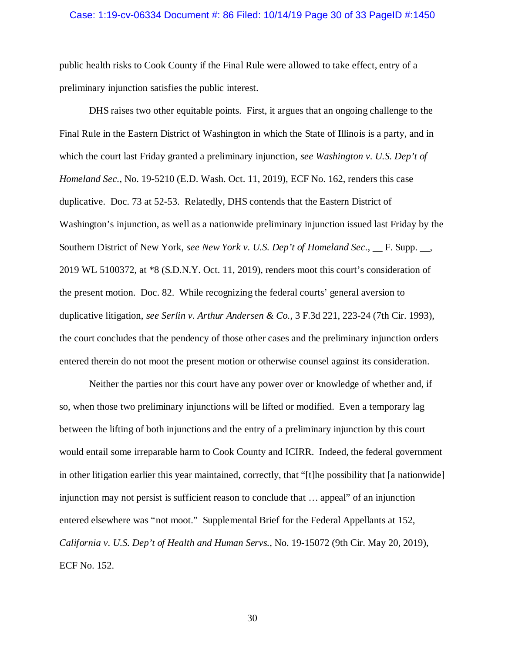## Case: 1:19-cv-06334 Document #: 86 Filed: 10/14/19 Page 30 of 33 PageID #:1450

public health risks to Cook County if the Final Rule were allowed to take effect, entry of a preliminary injunction satisfies the public interest.

DHS raises two other equitable points. First, it argues that an ongoing challenge to the Final Rule in the Eastern District of Washington in which the State of Illinois is a party, and in which the court last Friday granted a preliminary injunction, *see Washington v. U.S. Dep't of Homeland Sec.*, No. 19-5210 (E.D. Wash. Oct. 11, 2019), ECF No. 162, renders this case duplicative. Doc. 73 at 52-53. Relatedly, DHS contends that the Eastern District of Washington's injunction, as well as a nationwide preliminary injunction issued last Friday by the Southern District of New York, *see New York v. U.S. Dep't of Homeland Sec.*, \_\_ F. Supp. \_\_, 2019 WL 5100372, at \*8 (S.D.N.Y. Oct. 11, 2019), renders moot this court's consideration of the present motion. Doc. 82. While recognizing the federal courts' general aversion to duplicative litigation, *see Serlin v. Arthur Andersen & Co.*, 3 F.3d 221, 223-24 (7th Cir. 1993), the court concludes that the pendency of those other cases and the preliminary injunction orders entered therein do not moot the present motion or otherwise counsel against its consideration.

Neither the parties nor this court have any power over or knowledge of whether and, if so, when those two preliminary injunctions will be lifted or modified. Even a temporary lag between the lifting of both injunctions and the entry of a preliminary injunction by this court would entail some irreparable harm to Cook County and ICIRR. Indeed, the federal government in other litigation earlier this year maintained, correctly, that "[t]he possibility that [a nationwide] injunction may not persist is sufficient reason to conclude that … appeal" of an injunction entered elsewhere was "not moot." Supplemental Brief for the Federal Appellants at 152, *California v. U.S. Dep't of Health and Human Servs.*, No. 19-15072 (9th Cir. May 20, 2019), ECF No. 152.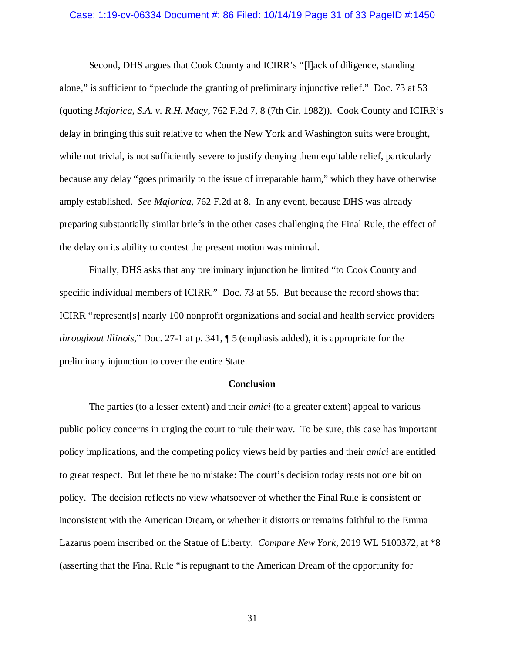### Case: 1:19-cv-06334 Document #: 86 Filed: 10/14/19 Page 31 of 33 PageID #:1450

Second, DHS argues that Cook County and ICIRR's "[l]ack of diligence, standing alone," is sufficient to "preclude the granting of preliminary injunctive relief." Doc. 73 at 53 (quoting *Majorica, S.A. v. R.H. Macy*, 762 F.2d 7, 8 (7th Cir. 1982)). Cook County and ICIRR's delay in bringing this suit relative to when the New York and Washington suits were brought, while not trivial, is not sufficiently severe to justify denying them equitable relief, particularly because any delay "goes primarily to the issue of irreparable harm," which they have otherwise amply established. *See Majorica*, 762 F.2d at 8. In any event, because DHS was already preparing substantially similar briefs in the other cases challenging the Final Rule, the effect of the delay on its ability to contest the present motion was minimal.

Finally, DHS asks that any preliminary injunction be limited "to Cook County and specific individual members of ICIRR." Doc. 73 at 55. But because the record shows that ICIRR "represent[s] nearly 100 nonprofit organizations and social and health service providers *throughout Illinois*," Doc. 27-1 at p. 341, ¶ 5 (emphasis added), it is appropriate for the preliminary injunction to cover the entire State.

#### **Conclusion**

The parties (to a lesser extent) and their *amici* (to a greater extent) appeal to various public policy concerns in urging the court to rule their way. To be sure, this case has important policy implications, and the competing policy views held by parties and their *amici* are entitled to great respect. But let there be no mistake: The court's decision today rests not one bit on policy. The decision reflects no view whatsoever of whether the Final Rule is consistent or inconsistent with the American Dream, or whether it distorts or remains faithful to the Emma Lazarus poem inscribed on the Statue of Liberty. *Compare New York*, 2019 WL 5100372, at \*8 (asserting that the Final Rule "is repugnant to the American Dream of the opportunity for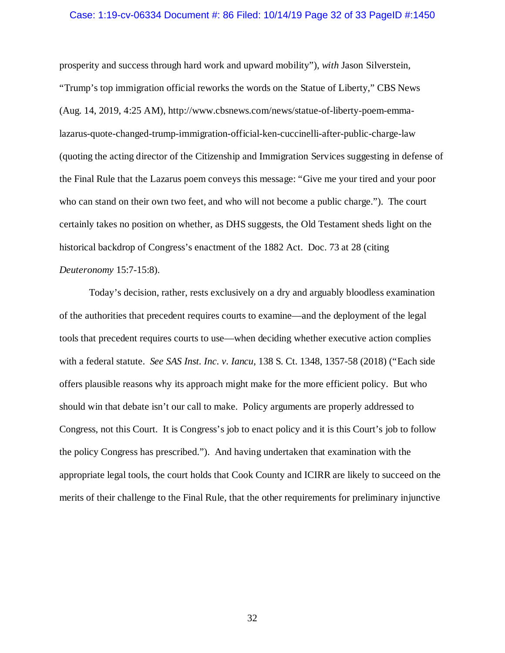#### Case: 1:19-cv-06334 Document #: 86 Filed: 10/14/19 Page 32 of 33 PageID #:1450

prosperity and success through hard work and upward mobility"), *with* Jason Silverstein, "Trump's top immigration official reworks the words on the Statue of Liberty," CBS News (Aug. 14, 2019, 4:25 AM), http://www.cbsnews.com/news/statue-of-liberty-poem-emmalazarus-quote-changed-trump-immigration-official-ken-cuccinelli-after-public-charge-law (quoting the acting director of the Citizenship and Immigration Services suggesting in defense of the Final Rule that the Lazarus poem conveys this message: "Give me your tired and your poor who can stand on their own two feet, and who will not become a public charge."). The court certainly takes no position on whether, as DHS suggests, the Old Testament sheds light on the historical backdrop of Congress's enactment of the 1882 Act. Doc. 73 at 28 (citing *Deuteronomy* 15:7-15:8).

Today's decision, rather, rests exclusively on a dry and arguably bloodless examination of the authorities that precedent requires courts to examine—and the deployment of the legal tools that precedent requires courts to use—when deciding whether executive action complies with a federal statute. *See SAS Inst. Inc. v. Iancu*, 138 S. Ct. 1348, 1357-58 (2018) ("Each side offers plausible reasons why its approach might make for the more efficient policy. But who should win that debate isn't our call to make. Policy arguments are properly addressed to Congress, not this Court. It is Congress's job to enact policy and it is this Court's job to follow the policy Congress has prescribed."). And having undertaken that examination with the appropriate legal tools, the court holds that Cook County and ICIRR are likely to succeed on the merits of their challenge to the Final Rule, that the other requirements for preliminary injunctive